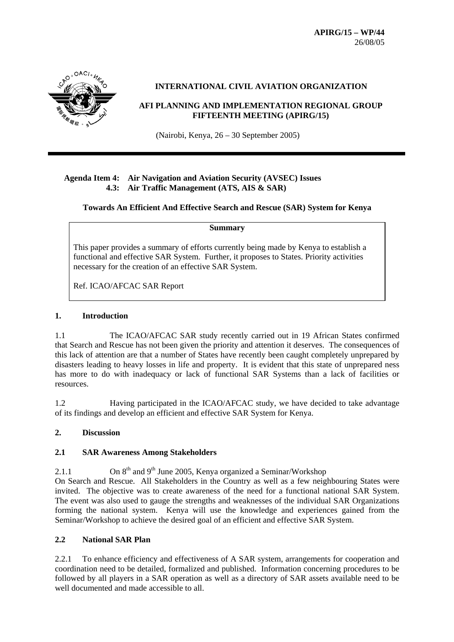

#### **INTERNATIONAL CIVIL AVIATION ORGANIZATION**

#### **AFI PLANNING AND IMPLEMENTATION REGIONAL GROUP FIFTEENTH MEETING (APIRG/15)**

(Nairobi, Kenya, 26 – 30 September 2005)

#### **Agenda Item 4: Air Navigation and Aviation Security (AVSEC) Issues 4.3: Air Traffic Management (ATS, AIS & SAR)**

**Towards An Efficient And Effective Search and Rescue (SAR) System for Kenya** 

**Summary** 

This paper provides a summary of efforts currently being made by Kenya to establish a functional and effective SAR System. Further, it proposes to States. Priority activities necessary for the creation of an effective SAR System.

Ref. ICAO/AFCAC SAR Report

#### **1. Introduction**

1.1 The ICAO/AFCAC SAR study recently carried out in 19 African States confirmed that Search and Rescue has not been given the priority and attention it deserves. The consequences of this lack of attention are that a number of States have recently been caught completely unprepared by disasters leading to heavy losses in life and property. It is evident that this state of unprepared ness has more to do with inadequacy or lack of functional SAR Systems than a lack of facilities or resources.

1.2 Having participated in the ICAO/AFCAC study, we have decided to take advantage of its findings and develop an efficient and effective SAR System for Kenya.

## **2. Discussion**

## **2.1 SAR Awareness Among Stakeholders**

2.1.1 On  $8<sup>th</sup>$  and  $9<sup>th</sup>$  June 2005, Kenya organized a Seminar/Workshop On Search and Rescue. All Stakeholders in the Country as well as a few neighbouring States were invited. The objective was to create awareness of the need for a functional national SAR System. The event was also used to gauge the strengths and weaknesses of the individual SAR Organizations forming the national system. Kenya will use the knowledge and experiences gained from the Seminar/Workshop to achieve the desired goal of an efficient and effective SAR System.

## **2.2 National SAR Plan**

2.2.1 To enhance efficiency and effectiveness of A SAR system, arrangements for cooperation and coordination need to be detailed, formalized and published. Information concerning procedures to be followed by all players in a SAR operation as well as a directory of SAR assets available need to be well documented and made accessible to all.